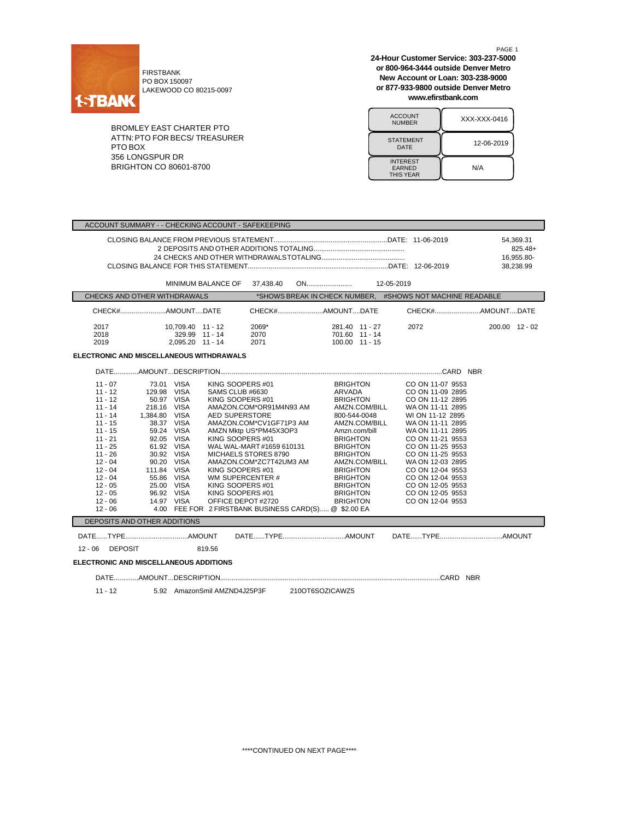

FIRSTBANK PO BOX 150097 LAKEWOOD CO 80215-0097

BROMLEY EAST CHARTER PTO ATTN:PTO FOR BECS/ TREASURER PTO BOX 356 LONGSPUR DR BRIGHTON CO 80601-8700

PAGE 1 **24-Hour Customer Service: 303-237-5000 or 800-964-3444 outside Denver Metro New Account or Loan: 303-238-9000 or 877-933-9800 outside Denver Metro www.efirstbank.com**

ACCOUNT<br>NUMBER XXX-XXX-0416 STATEMENT DATE 12-06-2019 INTEREST EARNED THIS YEAR N/A

|                                                                                                                                                                                                                           | ACCOUNT SUMMARY - - CHECKING ACCOUNT - SAFEKEEPING                                                                                                                                                                                                                                                                                                                                                                                         |                                                                                                                                                                                                                          |                                                                                                                                                                                                                                                                                          |                                                                                                                                                                                                                                                                                                                              |                                                   |
|---------------------------------------------------------------------------------------------------------------------------------------------------------------------------------------------------------------------------|--------------------------------------------------------------------------------------------------------------------------------------------------------------------------------------------------------------------------------------------------------------------------------------------------------------------------------------------------------------------------------------------------------------------------------------------|--------------------------------------------------------------------------------------------------------------------------------------------------------------------------------------------------------------------------|------------------------------------------------------------------------------------------------------------------------------------------------------------------------------------------------------------------------------------------------------------------------------------------|------------------------------------------------------------------------------------------------------------------------------------------------------------------------------------------------------------------------------------------------------------------------------------------------------------------------------|---------------------------------------------------|
|                                                                                                                                                                                                                           |                                                                                                                                                                                                                                                                                                                                                                                                                                            |                                                                                                                                                                                                                          |                                                                                                                                                                                                                                                                                          |                                                                                                                                                                                                                                                                                                                              | 54,369.31<br>$825.48+$<br>16,955.80-<br>38.238.99 |
|                                                                                                                                                                                                                           | <b>MINIMUM BALANCE OF</b>                                                                                                                                                                                                                                                                                                                                                                                                                  | 37,438.40                                                                                                                                                                                                                |                                                                                                                                                                                                                                                                                          |                                                                                                                                                                                                                                                                                                                              |                                                   |
| CHECKS AND OTHER WITHDRAWALS                                                                                                                                                                                              |                                                                                                                                                                                                                                                                                                                                                                                                                                            |                                                                                                                                                                                                                          |                                                                                                                                                                                                                                                                                          | *SHOWS BREAK IN CHECK NUMBER, #SHOWS NOT MACHINE READABLE                                                                                                                                                                                                                                                                    |                                                   |
|                                                                                                                                                                                                                           | CHECK#AMOUNTDATE                                                                                                                                                                                                                                                                                                                                                                                                                           | CHECK#AMOUNTDATE                                                                                                                                                                                                         |                                                                                                                                                                                                                                                                                          |                                                                                                                                                                                                                                                                                                                              |                                                   |
| 2017<br>2018<br>2019                                                                                                                                                                                                      | 10.709.40 11 - 12<br>329.99 11 - 14<br>2,095.20 11 - 14<br>ELECTRONIC AND MISCELLANEOUS WITHDRAWALS                                                                                                                                                                                                                                                                                                                                        | 2069*<br>2070<br>2071                                                                                                                                                                                                    | 281.40 11 - 27<br>701.60 11 - 14<br>100.00 11 - 15                                                                                                                                                                                                                                       | 2072                                                                                                                                                                                                                                                                                                                         | 200.00 12 - 02                                    |
|                                                                                                                                                                                                                           |                                                                                                                                                                                                                                                                                                                                                                                                                                            |                                                                                                                                                                                                                          |                                                                                                                                                                                                                                                                                          |                                                                                                                                                                                                                                                                                                                              |                                                   |
| $11 - 07$<br>$11 - 12$<br>$11 - 12$<br>$11 - 14$<br>$11 - 14$<br>$11 - 15$<br>$11 - 15$<br>$11 - 21$<br>$11 - 25$<br>$11 - 26$<br>$12 - 04$<br>$12 - 04$<br>$12 - 04$<br>$12 - 05$<br>$12 - 05$<br>$12 - 06$<br>$12 - 06$ | 73.01 VISA<br>129.98 VISA<br>SAMS CLUB #6630<br>KING SOOPERS #01<br>50.97 VISA<br>218.16 VISA<br>1,384.80 VISA<br><b>AED SUPERSTORE</b><br>38.37 VISA<br>59.24 VISA<br>92.05 VISA<br>KING SOOPERS #01<br>61.92 VISA<br>30.92 VISA<br>90.20 VISA<br>111.84 VISA<br>KING SOOPERS#01<br>55.86 VISA<br>25.00 VISA<br>KING SOOPERS #01<br>96.92 VISA<br>KING SOOPERS #01<br>14.97 VISA<br>4.00 FEE FOR 2 FIRSTBANK BUSINESS CARD(S) @ \$2.00 EA | KING SOOPERS #01<br>AMAZON.COM*OR91M4N93 AM<br>AMAZON.COM*CV1GF71P3 AM<br>AMZN Mktp US*PM45X3OP3<br>WAL WAL-MART#1659 610131<br>MICHAELS STORES 8790<br>AMAZON.COM*ZC7T42UM3 AM<br>WM SUPERCENTER #<br>OFFICE DEPOT#2720 | <b>BRIGHTON</b><br>ARVADA<br><b>BRIGHTON</b><br>AMZN.COM/BILL<br>800-544-0048<br>AMZN.COM/BILL<br>Amzn.com/bill<br><b>BRIGHTON</b><br><b>BRIGHTON</b><br><b>BRIGHTON</b><br>AMZN.COM/BILL<br><b>BRIGHTON</b><br><b>BRIGHTON</b><br><b>BRIGHTON</b><br><b>BRIGHTON</b><br><b>BRIGHTON</b> | CO ON 11-07 9553<br>CO ON 11-09 2895<br>CO ON 11-12 2895<br>WA ON 11-11 2895<br>WI ON 11-12 2895<br>WA ON 11-11 2895<br>WA ON 11-11 2895<br>CO ON 11-21 9553<br>CO ON 11-25 9553<br>CO ON 11-25 9553<br>WA ON 12-03 2895<br>CO ON 12-04 9553<br>CO ON 12-04 9553<br>CO ON 12-05 9553<br>CO ON 12-05 9553<br>CO ON 12-04 9553 |                                                   |
| DEPOSITS AND OTHER ADDITIONS                                                                                                                                                                                              |                                                                                                                                                                                                                                                                                                                                                                                                                                            |                                                                                                                                                                                                                          |                                                                                                                                                                                                                                                                                          |                                                                                                                                                                                                                                                                                                                              |                                                   |
| 12 - 06 DEPOSIT                                                                                                                                                                                                           | 819.56                                                                                                                                                                                                                                                                                                                                                                                                                                     |                                                                                                                                                                                                                          |                                                                                                                                                                                                                                                                                          |                                                                                                                                                                                                                                                                                                                              |                                                   |
| <b>ELECTRONIC AND MISCELLANEOUS ADDITIONS</b>                                                                                                                                                                             |                                                                                                                                                                                                                                                                                                                                                                                                                                            |                                                                                                                                                                                                                          |                                                                                                                                                                                                                                                                                          |                                                                                                                                                                                                                                                                                                                              |                                                   |
|                                                                                                                                                                                                                           |                                                                                                                                                                                                                                                                                                                                                                                                                                            |                                                                                                                                                                                                                          |                                                                                                                                                                                                                                                                                          |                                                                                                                                                                                                                                                                                                                              |                                                   |
| $11 - 12$                                                                                                                                                                                                                 | 5.92 AmazonSmil AMZND4J25P3F 210OT6SOZICAWZ5                                                                                                                                                                                                                                                                                                                                                                                               |                                                                                                                                                                                                                          |                                                                                                                                                                                                                                                                                          |                                                                                                                                                                                                                                                                                                                              |                                                   |